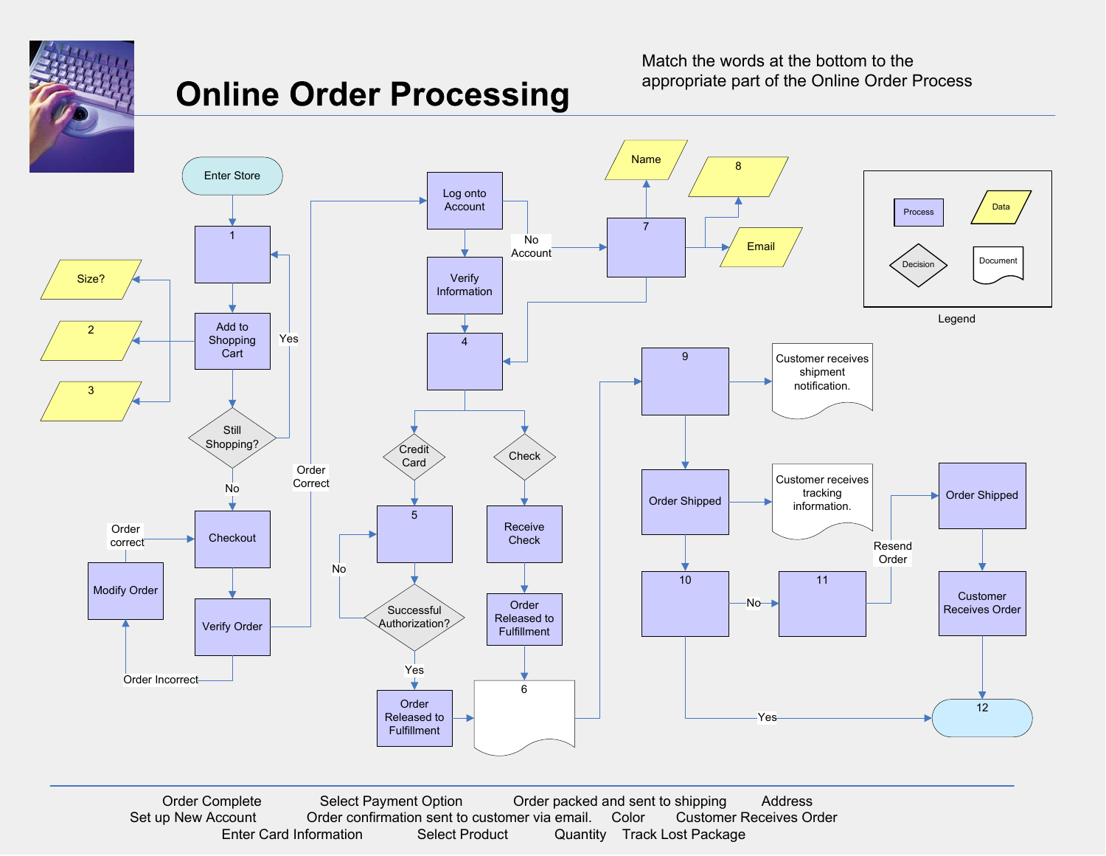

## **Online Order Processing**

Match the words at the bottom to the appropriate part of the Online Order Process



Order Complete Select Payment Option Order packed and sent to shipping Address Set up New Account Order confirmation sent to customer via email. Color Customer Receives Order Enter Card Information Select Product Quantity Track Lost Package